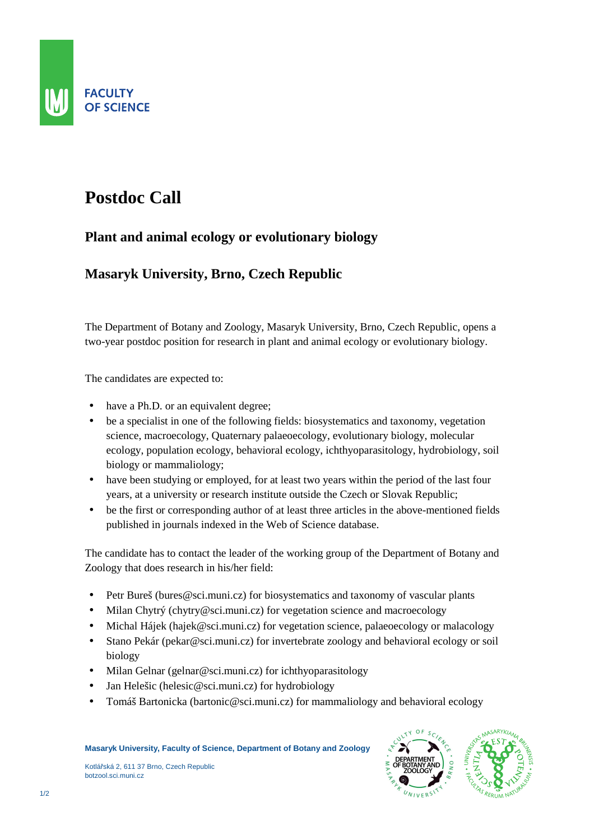

## **Postdoc Call**

## **Plant and animal ecology or evolutionary biology**

## **Masaryk University, Brno, Czech Republic**

The Department of Botany and Zoology, Masaryk University, Brno, Czech Republic, opens a two-year postdoc position for research in plant and animal ecology or evolutionary biology.

The candidates are expected to:

- have a Ph.D. or an equivalent degree;
- be a specialist in one of the following fields: biosystematics and taxonomy, vegetation science, macroecology, Quaternary palaeoecology, evolutionary biology, molecular ecology, population ecology, behavioral ecology, ichthyoparasitology, hydrobiology, soil biology or mammaliology;
- have been studying or employed, for at least two years within the period of the last four years, at a university or research institute outside the Czech or Slovak Republic;
- be the first or corresponding author of at least three articles in the above-mentioned fields published in journals indexed in the Web of Science database.

The candidate has to contact the leader of the working group of the Department of Botany and Zoology that does research in his/her field:

- Petr Bureš (bures@sci.muni.cz) for biosystematics and taxonomy of vascular plants
- Milan Chytrý (chytry@sci.muni.cz) for vegetation science and macroecology
- Michal Hájek (hajek@sci.muni.cz) for vegetation science, palaeoecology or malacology
- Stano Pekár (pekar@sci.muni.cz) for invertebrate zoology and behavioral ecology or soil biology
- Milan Gelnar (gelnar@sci.muni.cz) for ichthyoparasitology
- Jan Helešic (helesic@sci.muni.cz) for hydrobiology
- Tomáš Bartonicka (bartonic@sci.muni.cz) for mammaliology and behavioral ecology

Kotlářská 2, 611 37 Brno, Czech Republic botzool.sci.muni.cz